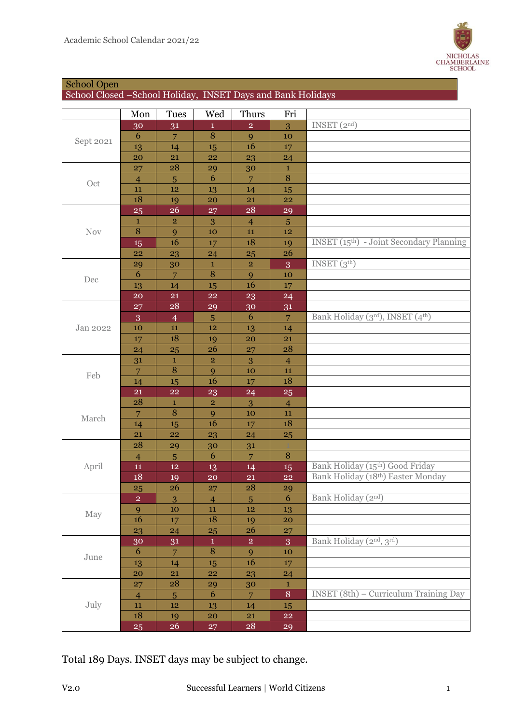

## School Open

School Closed –School Holiday, INSET Days and Bank Holidays

|            | Mon                     | <b>Tues</b>             | Wed            | Thurs          | Fri            |                                                             |
|------------|-------------------------|-------------------------|----------------|----------------|----------------|-------------------------------------------------------------|
| Sept 2021  | 30                      | 31                      | $\mathbf{1}$   | $\overline{2}$ | 3              | INSET $(2nd)$                                               |
|            | 6                       | 7                       | 8              | 9              | 10             |                                                             |
|            | 13                      | 14                      | 15             | 16             | 17             |                                                             |
|            | 20                      | 21                      | 22             | 23             | 24             |                                                             |
|            | 27                      | 28                      | 29             | 30             | $\mathbf{1}$   |                                                             |
| Oct        | $\overline{4}$          | $\overline{5}$          | 6              | $\overline{7}$ | $\, 8$         |                                                             |
|            | 11                      | ${\bf 12}$              | 13             | 14             | 15             |                                                             |
|            | 18                      | 19                      | 20             | <b>21</b>      | 22             |                                                             |
|            | <b>25</b>               | 26                      | 27             | ${\bf 28}$     | 29             |                                                             |
|            | $\mathbf 1$             | $\overline{\mathbf{2}}$ | 3              | $\overline{4}$ | $\overline{5}$ |                                                             |
| <b>Nov</b> | 8                       | 9                       | 10             | 11             | 12             |                                                             |
|            | 15                      | 16                      | 17             | 18             | 19             | <b>INSET</b> (15 <sup>th</sup> ) - Joint Secondary Planning |
|            | 22                      | 23                      | 24             | 25             | 26             |                                                             |
|            | 29                      | 30                      | $\mathbf 1$    | $\mathbf 2$    | 3              | INSET $(3th)$                                               |
|            | 6                       | $\overline{7}$          | 8              | 9              | 10             |                                                             |
| Dec        | 13                      | 14                      | 15             | 16             | 17             |                                                             |
|            | $20\,$                  | 21                      | <b>22</b>      | 23             | 24             |                                                             |
|            | 27                      | 28                      | 29             | 30             | 31             |                                                             |
|            | 3                       | $\overline{4}$          | $5\phantom{.}$ | 6              | $\overline{7}$ | Bank Holiday (3rd), INSET (4th)                             |
| Jan 2022   | 10                      | 11                      | $12\,$         | 13             | 14             |                                                             |
|            | 17                      | 18                      | 19             | 20             | 21             |                                                             |
|            | 24                      | 25                      | 26             | 27             | 28             |                                                             |
|            | 31                      | $\mathbf{1}$            | $\overline{2}$ | 3              | $\overline{4}$ |                                                             |
| Feb        | $\overline{7}$          | $\, 8$                  | 9              | 10             | 11             |                                                             |
|            | 14                      | 15                      | 16             | 17             | 18             |                                                             |
|            | 21                      | ${\bf 22}$              | 23             | 24             | 25             |                                                             |
|            | 28                      | $\mathbf{1}$            | $\mathbf 2$    | 3              | $\overline{4}$ |                                                             |
|            | $\overline{7}$          | 8                       | 9              | 10             | 11             |                                                             |
| March      | 14                      | 15                      | 16             | 17             | 18             |                                                             |
|            | 21                      | <b>22</b>               | 23             | 24             | <b>25</b>      |                                                             |
|            | 28                      | 29                      | 30             | 31             |                |                                                             |
| April      | $\overline{4}$          | $\overline{5}$          | 6              | $\overline{7}$ | $\, 8$         |                                                             |
|            | 11                      | 12                      | 13             | 14             | 15             | Bank Holiday (15th) Good Friday                             |
|            | 18                      | 19                      | 20             | 21             | 22             | Bank Holiday (18th) Easter Monday                           |
|            | 25                      | 26                      | 27             | 28             | 29             |                                                             |
| May        | $\overline{\mathbf{c}}$ | 3                       | $\overline{4}$ | $\overline{5}$ | 6              | Bank Holiday (2nd)                                          |
|            | 9                       | ${\bf 10}$              | ${\bf 11}$     | $\bf 12$       | 13             |                                                             |
|            | 16                      | 17                      | $18\,$         | 19             | 20             |                                                             |
|            | 23                      | 24                      | 25             | 26             | 27             |                                                             |
| June       | $30\,$                  | 31                      | $\mathbf{1}$   | $\overline{2}$ | 3              | Bank Holiday (2nd, 3rd)                                     |
|            | 6                       | $\overline{7}$          | $\overline{8}$ | 9              | 10             |                                                             |
|            | 13                      | 14                      | 15             | 16             | 17             |                                                             |
|            | 20                      | 21                      | 22             | 23             | 24             |                                                             |
| July       | 27                      | 28                      | 29             | 30             | $\mathbf 1$    |                                                             |
|            | $\overline{4}$          | $\overline{5}$          | 6              | $\overline{7}$ | $\, 8$         | <b>INSET</b> (8th) – Curriculum Training Day                |
|            | $11\,$                  | 12                      | 13             | 14             | 15             |                                                             |
|            | 18                      | 19                      | 20             | <b>21</b>      | ${\bf 22}$     |                                                             |
|            | 25                      | 26                      | 27             | 28             | 29             |                                                             |

Total 189 Days. INSET days may be subject to change.